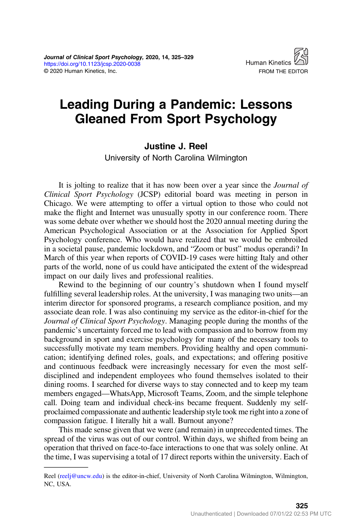

# Leading During a Pandemic: Lessons Gleaned From Sport Psychology

#### Justine J. Reel

University of North Carolina Wilmington

It is jolting to realize that it has now been over a year since the *Journal of* Clinical Sport Psychology (JCSP) editorial board was meeting in person in Chicago. We were attempting to offer a virtual option to those who could not make the flight and Internet was unusually spotty in our conference room. There was some debate over whether we should host the 2020 annual meeting during the American Psychological Association or at the Association for Applied Sport Psychology conference. Who would have realized that we would be embroiled in a societal pause, pandemic lockdown, and "Zoom or bust" modus operandi? In March of this year when reports of COVID-19 cases were hitting Italy and other parts of the world, none of us could have anticipated the extent of the widespread impact on our daily lives and professional realities.

Rewind to the beginning of our country's shutdown when I found myself fulfilling several leadership roles. At the university, I was managing two units—an interim director for sponsored programs, a research compliance position, and my associate dean role. I was also continuing my service as the editor-in-chief for the Journal of Clinical Sport Psychology. Managing people during the months of the pandemic's uncertainty forced me to lead with compassion and to borrow from my background in sport and exercise psychology for many of the necessary tools to successfully motivate my team members. Providing healthy and open communication; identifying defined roles, goals, and expectations; and offering positive and continuous feedback were increasingly necessary for even the most selfdisciplined and independent employees who found themselves isolated to their dining rooms. I searched for diverse ways to stay connected and to keep my team members engaged—WhatsApp, Microsoft Teams, Zoom, and the simple telephone call. Doing team and individual check-ins became frequent. Suddenly my selfproclaimed compassionate and authentic leadership style took me right into a zone of compassion fatigue. I literally hit a wall. Burnout anyone?

This made sense given that we were (and remain) in unprecedented times. The spread of the virus was out of our control. Within days, we shifted from being an operation that thrived on face-to-face interactions to one that was solely online. At the time, I was supervising a total of 17 direct reports within the university. Each of

Reel [\(reelj@uncw.edu](mailto:reelj@uncw.edu)) is the editor-in-chief, University of North Carolina Wilmington, Wilmington, NC, USA.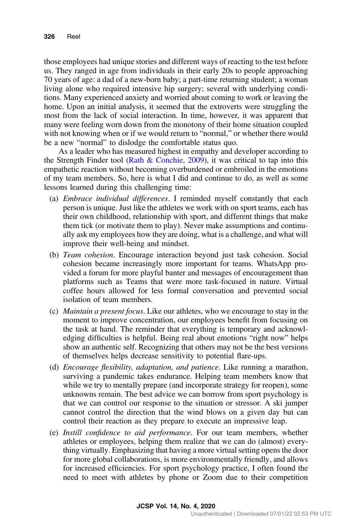those employees had unique stories and different ways of reacting to the test before us. They ranged in age from individuals in their early 20s to people approaching 70 years of age: a dad of a new-born baby; a part-time returning student; a woman living alone who required intensive hip surgery; several with underlying conditions. Many experienced anxiety and worried about coming to work or leaving the home. Upon an initial analysis, it seemed that the extroverts were struggling the most from the lack of social interaction. In time, however, it was apparent that many were feeling worn down from the monotony of their home situation coupled with not knowing when or if we would return to "normal," or whether there would be a new "normal" to dislodge the comfortable status quo.

As a leader who has measured highest in empathy and developer according to the Strength Finder tool (Rath  $\&$  Conchie, 2009), it was critical to tap into this empathetic reaction without becoming overburdened or embroiled in the emotions of my team members. So, here is what I did and continue to do, as well as some lessons learned during this challenging time:

- (a) Embrace individual differences. I reminded myself constantly that each person is unique. Just like the athletes we work with on sport teams, each has their own childhood, relationship with sport, and different things that make them tick (or motivate them to play). Never make assumptions and continually ask my employees how they are doing, what is a challenge, and what will improve their well-being and mindset.
- (b) Team cohesion. Encourage interaction beyond just task cohesion. Social cohesion became increasingly more important for teams. WhatsApp provided a forum for more playful banter and messages of encouragement than platforms such as Teams that were more task-focused in nature. Virtual coffee hours allowed for less formal conversation and prevented social isolation of team members.
- (c) Maintain a present focus. Like our athletes, who we encourage to stay in the moment to improve concentration, our employees benefit from focusing on the task at hand. The reminder that everything is temporary and acknowledging difficulties is helpful. Being real about emotions "right now" helps show an authentic self. Recognizing that others may not be the best versions of themselves helps decrease sensitivity to potential flare-ups.
- (d) Encourage flexibility, adaptation, and patience. Like running a marathon, surviving a pandemic takes endurance. Helping team members know that while we try to mentally prepare (and incorporate strategy for reopen), some unknowns remain. The best advice we can borrow from sport psychology is that we can control our response to the situation or stressor. A ski jumper cannot control the direction that the wind blows on a given day but can control their reaction as they prepare to execute an impressive leap.
- (e) Instill confidence to aid performance. For our team members, whether athletes or employees, helping them realize that we can do (almost) everything virtually. Emphasizing that having a more virtual setting opens the door for more global collaborations, is more environmentally friendly, and allows for increased efficiencies. For sport psychology practice, I often found the need to meet with athletes by phone or Zoom due to their competition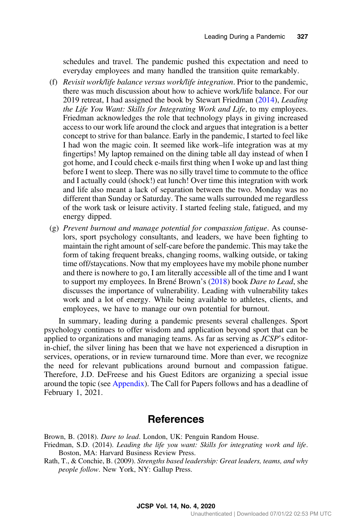<span id="page-2-0"></span>schedules and travel. The pandemic pushed this expectation and need to everyday employees and many handled the transition quite remarkably.

- (f) Revisit work/life balance versus work/life integration. Prior to the pandemic, there was much discussion about how to achieve work/life balance. For our 2019 retreat, I had assigned the book by Stewart Friedman (2014), Leading the Life You Want: Skills for Integrating Work and Life, to my employees. Friedman acknowledges the role that technology plays in giving increased access to our work life around the clock and argues that integration is a better concept to strive for than balance. Early in the pandemic, I started to feel like I had won the magic coin. It seemed like work–life integration was at my fingertips! My laptop remained on the dining table all day instead of when I got home, and I could check e-mails first thing when I woke up and last thing before I went to sleep. There was no silly travel time to commute to the office and I actually could (shock!) eat lunch! Over time this integration with work and life also meant a lack of separation between the two. Monday was no different than Sunday or Saturday. The same walls surrounded me regardless of the work task or leisure activity. I started feeling stale, fatigued, and my energy dipped.
- (g) Prevent burnout and manage potential for compassion fatigue. As counselors, sport psychology consultants, and leaders, we have been fighting to maintain the right amount of self-care before the pandemic. This may take the form of taking frequent breaks, changing rooms, walking outside, or taking time off/staycations. Now that my employees have my mobile phone number and there is nowhere to go, I am literally accessible all of the time and I want to support my employees. In Brené Brown's (2018) book Dare to Lead, she discusses the importance of vulnerability. Leading with vulnerability takes work and a lot of energy. While being available to athletes, clients, and employees, we have to manage our own potential for burnout.

In summary, leading during a pandemic presents several challenges. Sport psychology continues to offer wisdom and application beyond sport that can be applied to organizations and managing teams. As far as serving as JCSP's editorin-chief, the silver lining has been that we have not experienced a disruption in services, operations, or in review turnaround time. More than ever, we recognize the need for relevant publications around burnout and compassion fatigue. Therefore, J.D. DeFreese and his Guest Editors are organizing a special issue around the topic (see [Appendix](#page-3-0)). The Call for Papers follows and has a deadline of February 1, 2021.

### References

Brown, B. (2018). Dare to lead. London, UK: Penguin Random House.

- Friedman, S.D. (2014). Leading the life you want: Skills for integrating work and life. Boston, MA: Harvard Business Review Press.
- Rath, T., & Conchie, B. (2009). Strengths based leadership: Great leaders, teams, and why people follow. New York, NY: Gallup Press.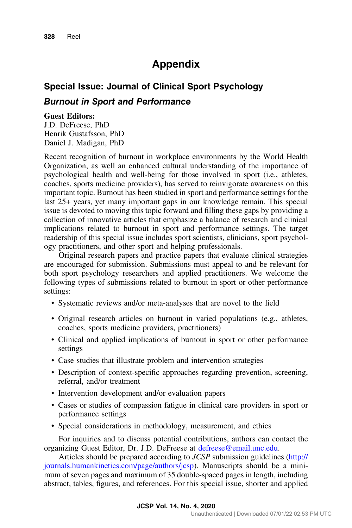## Appendix

# <span id="page-3-0"></span>Special Issue: Journal of Clinical Sport Psychology Burnout in Sport and Performance

#### Guest Editors:

J.D. DeFreese, PhD Henrik Gustafsson, PhD Daniel J. Madigan, PhD

Recent recognition of burnout in workplace environments by the World Health Organization, as well an enhanced cultural understanding of the importance of psychological health and well-being for those involved in sport (i.e., athletes, coaches, sports medicine providers), has served to reinvigorate awareness on this important topic. Burnout has been studied in sport and performance settings for the last 25+ years, yet many important gaps in our knowledge remain. This special issue is devoted to moving this topic forward and filling these gaps by providing a collection of innovative articles that emphasize a balance of research and clinical implications related to burnout in sport and performance settings. The target readership of this special issue includes sport scientists, clinicians, sport psychology practitioners, and other sport and helping professionals.

Original research papers and practice papers that evaluate clinical strategies are encouraged for submission. Submissions must appeal to and be relevant for both sport psychology researchers and applied practitioners. We welcome the following types of submissions related to burnout in sport or other performance settings:

- Systematic reviews and/or meta-analyses that are novel to the field
- Original research articles on burnout in varied populations (e.g., athletes, coaches, sports medicine providers, practitioners)
- Clinical and applied implications of burnout in sport or other performance settings
- Case studies that illustrate problem and intervention strategies
- Description of context-specific approaches regarding prevention, screening, referral, and/or treatment
- Intervention development and/or evaluation papers
- Cases or studies of compassion fatigue in clinical care providers in sport or performance settings
- Special considerations in methodology, measurement, and ethics

For inquiries and to discuss potential contributions, authors can contact the organizing Guest Editor, Dr. J.D. DeFreese at [defreese@email.unc.edu](mailto:defreese@email.unc.edu).

Articles should be prepared according to JCSP submission guidelines [\(http://](http://journals.humankinetics.com/page/authors/jcsp) [journals.humankinetics.com/page/authors/jcsp\)](http://journals.humankinetics.com/page/authors/jcsp). Manuscripts should be a minimum of seven pages and maximum of 35 double-spaced pages in length, including abstract, tables, figures, and references. For this special issue, shorter and applied